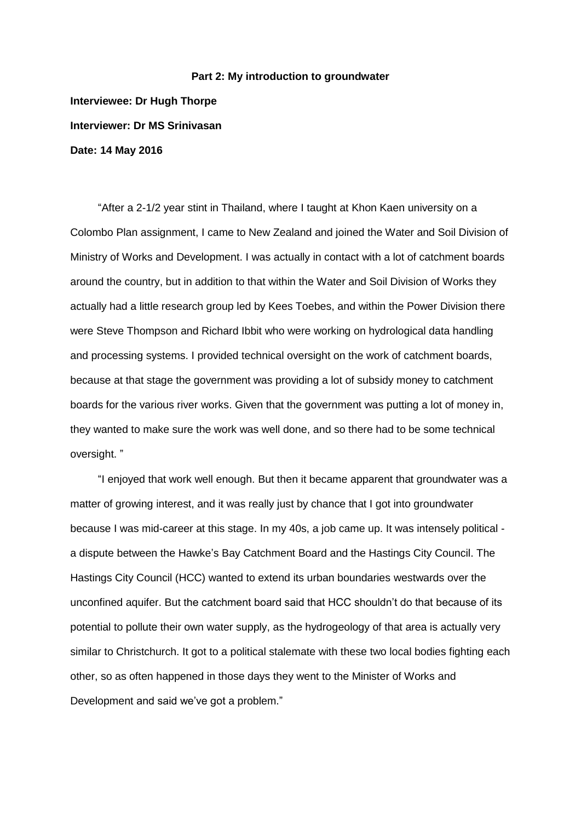## **Part 2: My introduction to groundwater**

**Interviewee: Dr Hugh Thorpe Interviewer: Dr MS Srinivasan Date: 14 May 2016**

"After a 2-1/2 year stint in Thailand, where I taught at Khon Kaen university on a Colombo Plan assignment, I came to New Zealand and joined the Water and Soil Division of Ministry of Works and Development. I was actually in contact with a lot of catchment boards around the country, but in addition to that within the Water and Soil Division of Works they actually had a little research group led by Kees Toebes, and within the Power Division there were Steve Thompson and Richard Ibbit who were working on hydrological data handling and processing systems. I provided technical oversight on the work of catchment boards, because at that stage the government was providing a lot of subsidy money to catchment boards for the various river works. Given that the government was putting a lot of money in, they wanted to make sure the work was well done, and so there had to be some technical oversight. "

"I enjoyed that work well enough. But then it became apparent that groundwater was a matter of growing interest, and it was really just by chance that I got into groundwater because I was mid-career at this stage. In my 40s, a job came up. It was intensely political a dispute between the Hawke's Bay Catchment Board and the Hastings City Council. The Hastings City Council (HCC) wanted to extend its urban boundaries westwards over the unconfined aquifer. But the catchment board said that HCC shouldn't do that because of its potential to pollute their own water supply, as the hydrogeology of that area is actually very similar to Christchurch. It got to a political stalemate with these two local bodies fighting each other, so as often happened in those days they went to the Minister of Works and Development and said we've got a problem."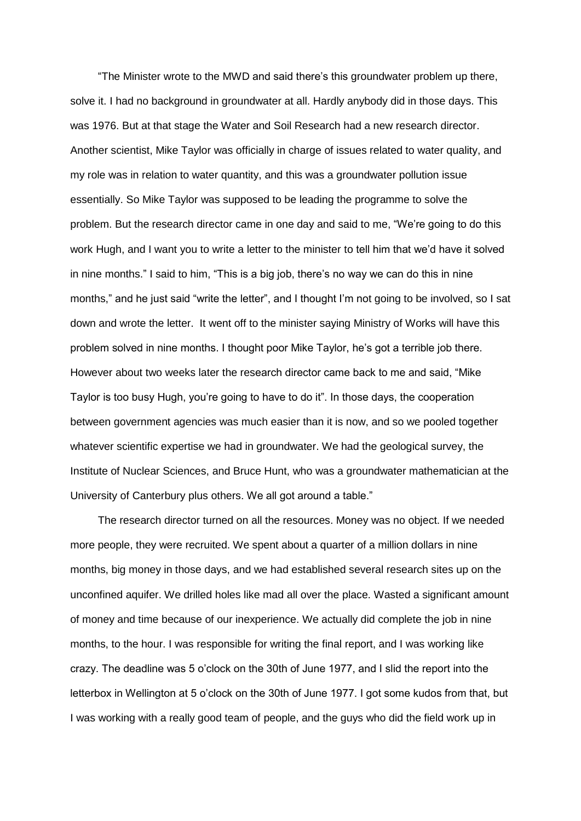"The Minister wrote to the MWD and said there's this groundwater problem up there, solve it. I had no background in groundwater at all. Hardly anybody did in those days. This was 1976. But at that stage the Water and Soil Research had a new research director. Another scientist, Mike Taylor was officially in charge of issues related to water quality, and my role was in relation to water quantity, and this was a groundwater pollution issue essentially. So Mike Taylor was supposed to be leading the programme to solve the problem. But the research director came in one day and said to me, "We're going to do this work Hugh, and I want you to write a letter to the minister to tell him that we'd have it solved in nine months." I said to him, "This is a big job, there's no way we can do this in nine months," and he just said "write the letter", and I thought I'm not going to be involved, so I sat down and wrote the letter. It went off to the minister saying Ministry of Works will have this problem solved in nine months. I thought poor Mike Taylor, he's got a terrible job there. However about two weeks later the research director came back to me and said, "Mike Taylor is too busy Hugh, you're going to have to do it". In those days, the cooperation between government agencies was much easier than it is now, and so we pooled together whatever scientific expertise we had in groundwater. We had the geological survey, the Institute of Nuclear Sciences, and Bruce Hunt, who was a groundwater mathematician at the University of Canterbury plus others. We all got around a table."

The research director turned on all the resources. Money was no object. If we needed more people, they were recruited. We spent about a quarter of a million dollars in nine months, big money in those days, and we had established several research sites up on the unconfined aquifer. We drilled holes like mad all over the place. Wasted a significant amount of money and time because of our inexperience. We actually did complete the job in nine months, to the hour. I was responsible for writing the final report, and I was working like crazy. The deadline was 5 o'clock on the 30th of June 1977, and I slid the report into the letterbox in Wellington at 5 o'clock on the 30th of June 1977. I got some kudos from that, but I was working with a really good team of people, and the guys who did the field work up in